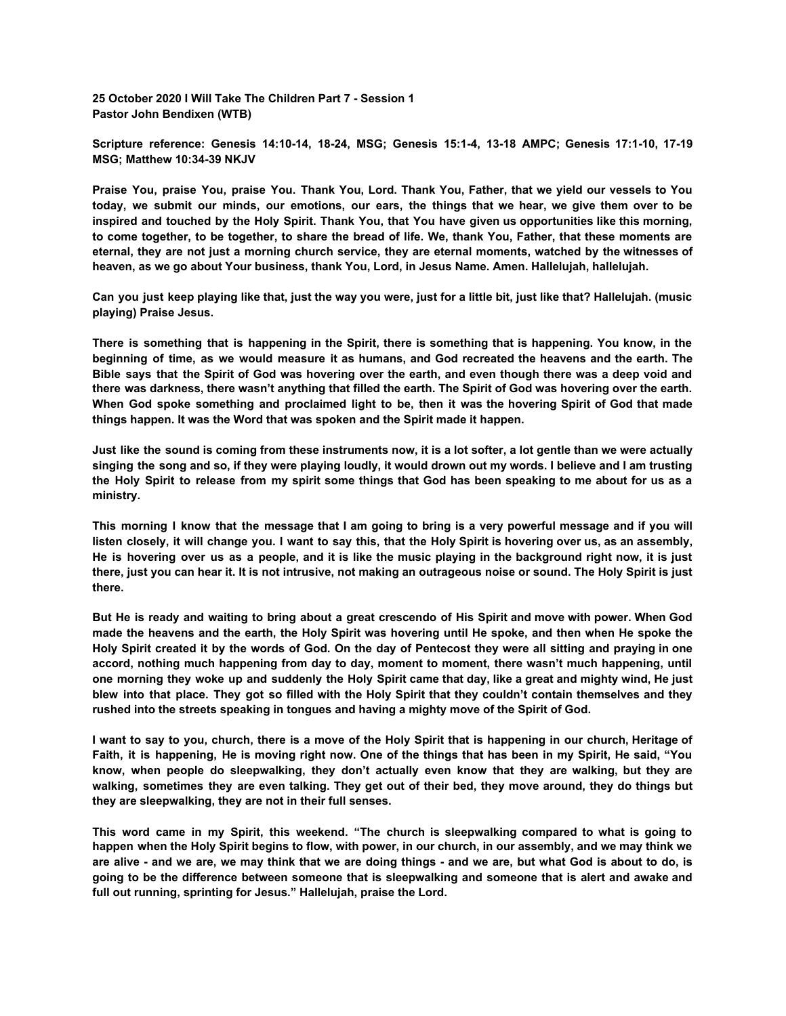**25 October 2020 I Will Take The Children Part 7 - Session 1 Pastor John Bendixen (WTB)**

**Scripture reference: Genesis 14:10-14, 18-24, MSG; Genesis 15:1-4, 13-18 AMPC; Genesis 17:1-10, 17-19 MSG; Matthew 10:34-39 NKJV**

Praise You, praise You, praise You. Thank You, Lord. Thank You, Father, that we yield our vessels to You today, we submit our minds, our emotions, our ears, the things that we hear, we give them over to be inspired and touched by the Holy Spirit. Thank You, that You have given us opportunities like this morning, to come together, to be together, to share the bread of life. We, thank You, Father, that these moments are eternal, they are not just a morning church service, they are eternal moments, watched by the witnesses of **heaven, as we go about Your business, thank You, Lord, in Jesus Name. Amen. Hallelujah, hallelujah.**

Can you just keep playing like that, just the way you were, just for a little bit, just like that? Hallelujah. (music **playing) Praise Jesus.**

There is something that is happening in the Spirit, there is something that is happening. You know, in the beginning of time, as we would measure it as humans, and God recreated the heavens and the earth. The Bible says that the Spirit of God was hovering over the earth, and even though there was a deep void and there was darkness, there wasn't anything that filled the earth. The Spirit of God was hovering over the earth. When God spoke something and proclaimed light to be, then it was the hovering Spirit of God that made **things happen. It was the Word that was spoken and the Spirit made it happen.**

Just like the sound is coming from these instruments now, it is a lot softer, a lot gentle than we were actually singing the song and so, if they were playing loudly, it would drown out my words. I believe and I am trusting the Holy Spirit to release from my spirit some things that God has been speaking to me about for us as a **ministry.**

This morning I know that the message that I am going to bring is a very powerful message and if you will listen closely, it will change you. I want to say this, that the Holy Spirit is hovering over us, as an assembly, He is hovering over us as a people, and it is like the music playing in the background right now, it is just there, just you can hear it. It is not intrusive, not making an outrageous noise or sound. The Holy Spirit is just **there.**

But He is ready and waiting to bring about a great crescendo of His Spirit and move with power. When God made the heavens and the earth, the Holy Spirit was hovering until He spoke, and then when He spoke the Holy Spirit created it by the words of God. On the day of Pentecost they were all sitting and praying in one **accord, nothing much happening from day to day, moment to moment, there wasn't much happening, until** one morning they woke up and suddenly the Holy Spirit came that day, like a great and mighty wind, He just blew into that place. They got so filled with the Holy Spirit that they couldn't contain themselves and they **rushed into the streets speaking in tongues and having a mighty move of the Spirit of God.**

I want to say to you, church, there is a move of the Holy Spirit that is happening in our church, Heritage of Faith, it is happening, He is moving right now. One of the things that has been in my Spirit, He said, "You **know, when people do sleepwalking, they don't actually even know that they are walking, but they are** walking, sometimes they are even talking. They get out of their bed, they move around, they do things but **they are sleepwalking, they are not in their full senses.**

This word came in my Spirit, this weekend. "The church is sleepwalking compared to what is going to happen when the Holy Spirit begins to flow, with power, in our church, in our assembly, and we may think we are alive - and we are, we may think that we are doing things - and we are, but what God is about to do, is going to be the difference between someone that is sleepwalking and someone that is alert and awake and **full out running, sprinting for Jesus." Hallelujah, praise the Lord.**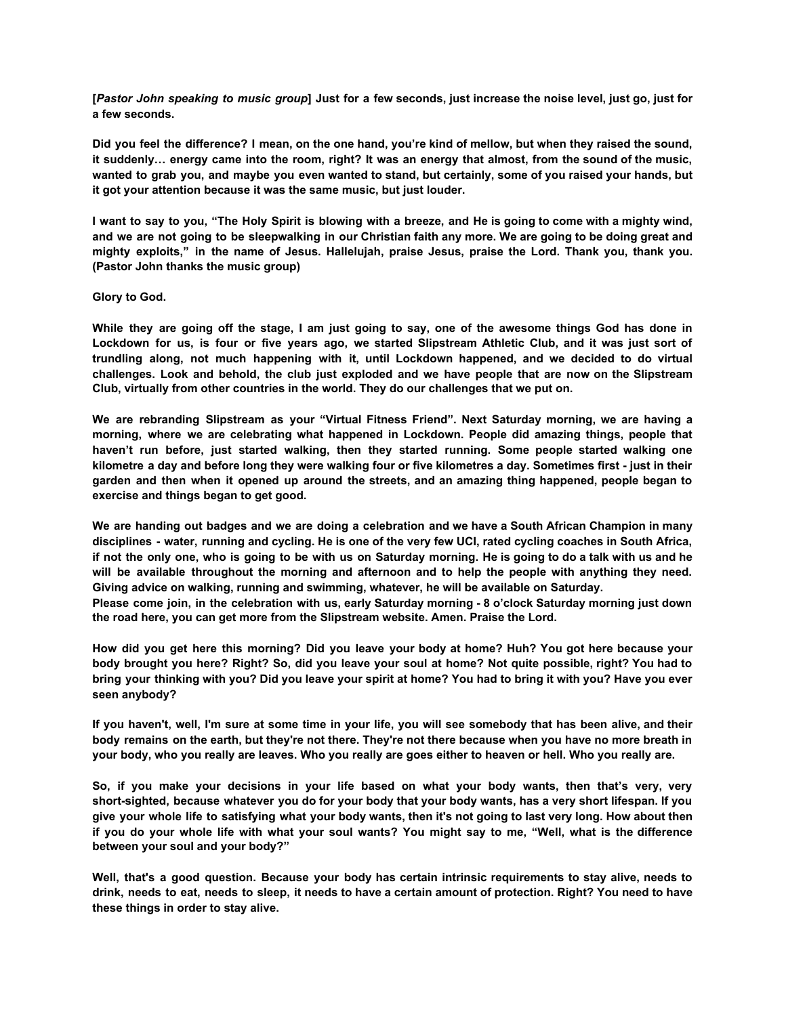[Pastor John speaking to music group] Just for a few seconds, just increase the noise level, just go, just for **a few seconds.**

Did you feel the difference? I mean, on the one hand, you're kind of mellow, but when they raised the sound, it suddenly... energy came into the room, right? It was an energy that almost, from the sound of the music, wanted to grab you, and maybe you even wanted to stand, but certainly, some of you raised your hands, but **it got your attention because it was the same music, but just louder.**

I want to say to you, "The Holy Spirit is blowing with a breeze, and He is going to come with a mighty wind, and we are not going to be sleepwalking in our Christian faith any more. We are going to be doing great and **mighty exploits," in the name of Jesus. Hallelujah, praise Jesus, praise the Lord. Thank you, thank you. (Pastor John thanks the music group)**

## **Glory to God.**

While they are going off the stage, I am just going to say, one of the awesome things God has done in Lockdown for us, is four or five years ago, we started Slipstream Athletic Club, and it was just sort of **trundling along, not much happening with it, until Lockdown happened, and we decided to do virtual** challenges. Look and behold, the club just exploded and we have people that are now on the Slipstream **Club, virtually from other countries in the world. They do our challenges that we put on.**

**We are rebranding Slipstream as your "Virtual Fitness Friend". Next Saturday morning, we are having a morning, where we are celebrating what happened in Lockdown. People did amazing things, people that haven't run before, just started walking, then they started running. Some people started walking one** kilometre a day and before long they were walking four or five kilometres a day. Sometimes first - just in their garden and then when it opened up around the streets, and an amazing thing happened, people began to **exercise and things began to get good.**

We are handing out badges and we are doing a celebration and we have a South African Champion in many disciplines - water, running and cycling. He is one of the very few UCI, rated cycling coaches in South Africa, if not the only one, who is going to be with us on Saturday morning. He is going to do a talk with us and he **will be available throughout the morning and afternoon and to help the people with anything they need. Giving advice on walking, running and swimming, whatever, he will be available on Saturday.**

Please come join, in the celebration with us, early Saturday morning - 8 o'clock Saturday morning just down **the road here, you can get more from the Slipstream website. Amen. Praise the Lord.**

How did you get here this morning? Did you leave your body at home? Huh? You got here because your body brought you here? Right? So, did you leave your soul at home? Not quite possible, right? You had to bring your thinking with you? Did you leave your spirit at home? You had to bring it with you? Have you ever **seen anybody?**

If you haven't, well, I'm sure at some time in your life, you will see somebody that has been alive, and their body remains on the earth, but they're not there. They're not there because when you have no more breath in **your body, who you really are leaves. Who you really are goes either to heaven or hell. Who you really are.**

So, if you make your decisions in your life based on what your body wants, then that's very, very short-sighted, because whatever you do for your body that your body wants, has a very short lifespan. If you give your whole life to satisfying what your body wants, then it's not going to last very long. How about then if you do your whole life with what your soul wants? You might say to me, "Well, what is the difference **between your soul and your body?"**

Well, that's a good question. Because your body has certain intrinsic requirements to stay alive, needs to drink, needs to eat, needs to sleep, it needs to have a certain amount of protection. Right? You need to have **these things in order to stay alive.**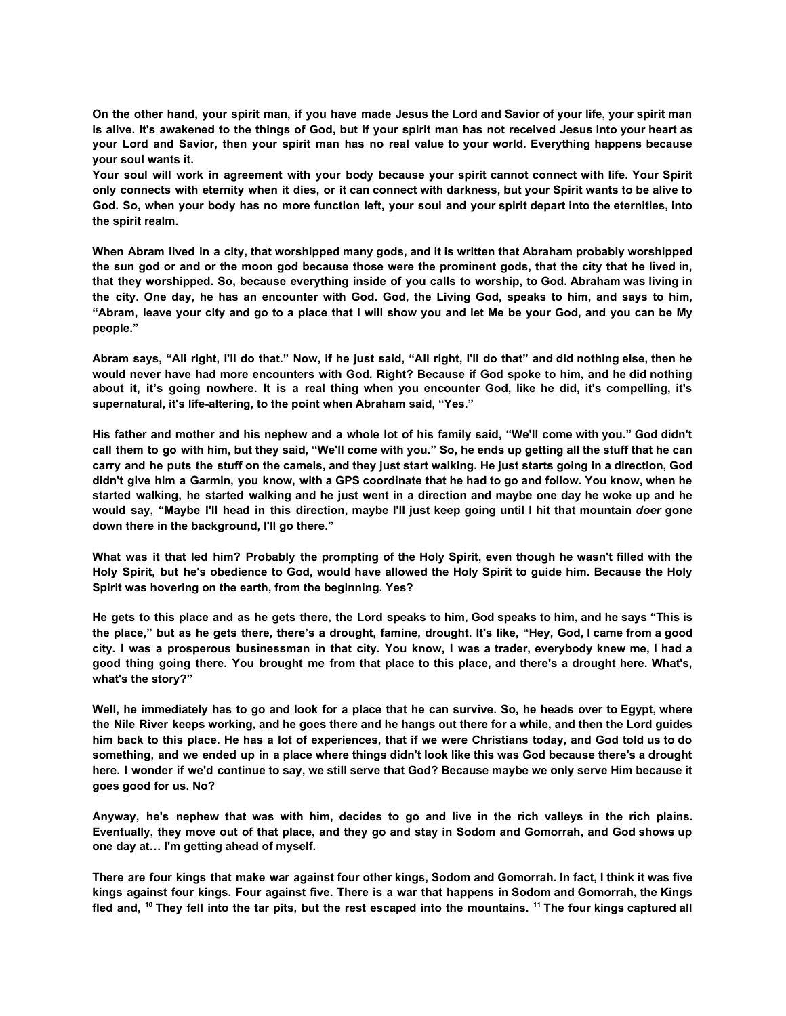On the other hand, your spirit man, if you have made Jesus the Lord and Savior of your life, your spirit man is alive. It's awakened to the things of God, but if your spirit man has not received Jesus into your heart as your Lord and Savior, then your spirit man has no real value to your world. Everything happens because **your soul wants it.**

Your soul will work in agreement with your body because your spirit cannot connect with life. Your Spirit only connects with eternity when it dies, or it can connect with darkness, but your Spirit wants to be alive to God. So, when your body has no more function left, your soul and your spirit depart into the eternities, into **the spirit realm.**

When Abram lived in a city, that worshipped many gods, and it is written that Abraham probably worshipped the sun god or and or the moon god because those were the prominent gods, that the city that he lived in, that they worshipped. So, because everything inside of you calls to worship, to God. Abraham was living in the city. One day, he has an encounter with God. God, the Living God, speaks to him, and says to him, "Abram, leave your city and go to a place that I will show you and let Me be your God, and you can be My **people."**

Abram says, "Ali right, I'll do that." Now, if he just said, "All right, I'll do that" and did nothing else, then he would never have had more encounters with God. Right? Because if God spoke to him, and he did nothing about it, it's going nowhere. It is a real thing when you encounter God, like he did, it's compelling, it's **supernatural, it's life-altering, to the point when Abraham said, "Yes."**

His father and mother and his nephew and a whole lot of his family said, "We'll come with you." God didn't call them to go with him, but they said, "We'll come with you." So, he ends up getting all the stuff that he can carry and he puts the stuff on the camels, and they just start walking. He just starts going in a direction, God didn't give him a Garmin, you know, with a GPS coordinate that he had to go and follow. You know, when he started walking, he started walking and he just went in a direction and maybe one day he woke up and he would say, "Maybe I'll head in this direction, maybe I'll just keep going until I hit that mountain doer gone **down there in the background, I'll go there."**

What was it that led him? Probably the prompting of the Holy Spirit, even though he wasn't filled with the Holy Spirit, but he's obedience to God, would have allowed the Holy Spirit to guide him. Because the Holy **Spirit was hovering on the earth, from the beginning. Yes?**

He gets to this place and as he gets there, the Lord speaks to him, God speaks to him, and he says "This is the place," but as he gets there, there's a drought, famine, drought. It's like, "Hey, God, I came from a good city. I was a prosperous businessman in that city. You know, I was a trader, everybody knew me, I had a good thing going there. You brought me from that place to this place, and there's a drought here. What's, **what's the story?"**

Well, he immediately has to go and look for a place that he can survive. So, he heads over to Egypt, where the Nile River keeps working, and he goes there and he hangs out there for a while, and then the Lord guides him back to this place. He has a lot of experiences, that if we were Christians today, and God told us to do something, and we ended up in a place where things didn't look like this was God because there's a drought here. I wonder if we'd continue to say, we still serve that God? Because maybe we only serve Him because it **goes good for us. No?**

Anyway, he's nephew that was with him, decides to go and live in the rich valleys in the rich plains. Eventually, they move out of that place, and they go and stay in Sodom and Gomorrah, and God shows up **one day at… I'm getting ahead of myself.**

There are four kings that make war against four other kings, Sodom and Gomorrah. In fact, I think it was five kings against four kings. Four against five. There is a war that happens in Sodom and Gomorrah, the Kings fled and, <sup>10</sup> They fell into the tar pits, but the rest escaped into the mountains. <sup>11</sup> The four kings captured all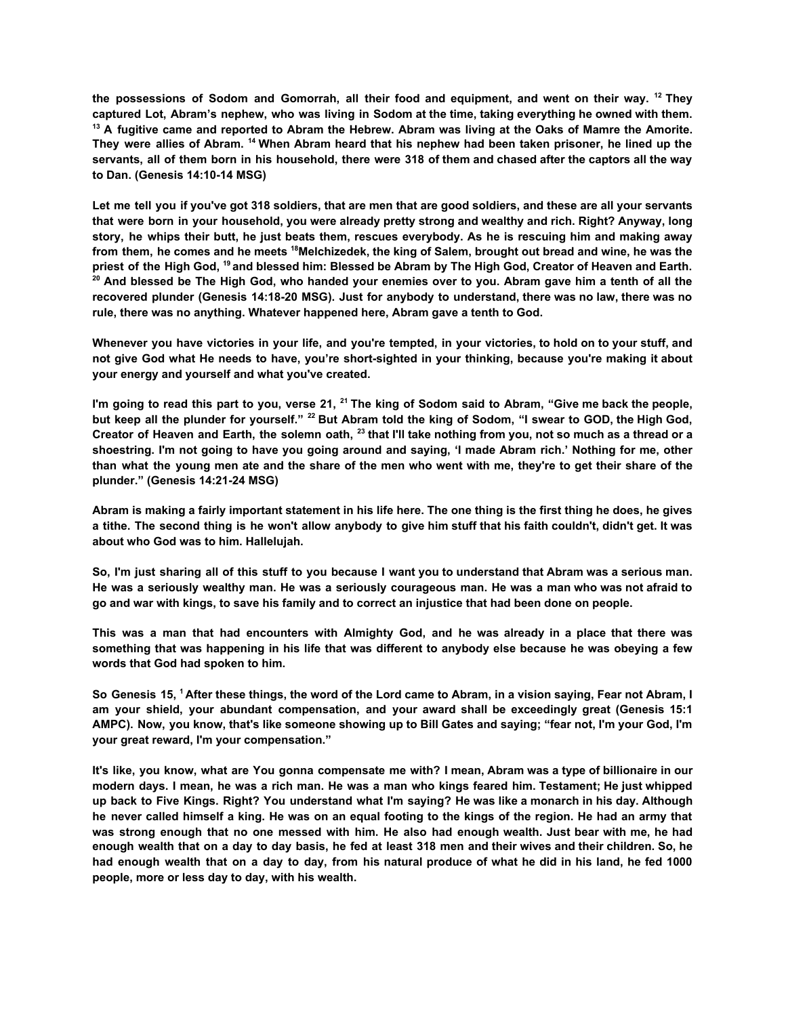the possessions of Sodom and Gomorrah, all their food and equipment, and went on their way. <sup>12</sup> They captured Lot, Abram's nephew, who was living in Sodom at the time, taking everything he owned with them.  $13$  A fugitive came and reported to Abram the Hebrew. Abram was living at the Oaks of Mamre the Amorite. They were allies of Abram. <sup>14</sup> When Abram heard that his nephew had been taken prisoner, he lined up the servants, all of them born in his household, there were 318 of them and chased after the captors all the way **to Dan. (Genesis 14:10-14 MSG)**

Let me tell you if you've got 318 soldiers, that are men that are good soldiers, and these are all your servants that were born in your household, you were already pretty strong and wealthy and rich. Right? Anyway, long story, he whips their butt, he just beats them, rescues everybody. As he is rescuing him and making away from them, he comes and he meets <sup>18</sup>Melchizedek, the king of Salem, brought out bread and wine, he was the priest of the High God, <sup>19</sup> and blessed him: Blessed be Abram by The High God, Creator of Heaven and Earth. <sup>20</sup> And blessed be The High God, who handed your enemies over to you. Abram gave him a tenth of all the **recovered plunder (Genesis 14:18-20 MSG). Just for anybody to understand, there was no law, there was no rule, there was no anything. Whatever happened here, Abram gave a tenth to God.**

Whenever you have victories in your life, and you're tempted, in your victories, to hold on to your stuff, and not give God what He needs to have, you're short-sighted in your thinking, because you're making it about **your energy and yourself and what you've created.**

I'm going to read this part to you, verse 21, <sup>21</sup> The king of Sodom said to Abram, "Give me back the people, but keep all the plunder for yourself." <sup>22</sup> But Abram told the king of Sodom, "I swear to GOD, the High God, Creator of Heaven and Earth, the solemn oath,  $^{23}$  that I'll take nothing from you, not so much as a thread or a shoestring. I'm not going to have you going around and saying, 'I made Abram rich.' Nothing for me, other than what the young men ate and the share of the men who went with me, they're to get their share of the **plunder." (Genesis 14:21-24 MSG)**

Abram is making a fairly important statement in his life here. The one thing is the first thing he does, he gives a tithe. The second thing is he won't allow anybody to give him stuff that his faith couldn't, didn't get. It was **about who God was to him. Hallelujah.**

So, I'm just sharing all of this stuff to you because I want you to understand that Abram was a serious man. He was a seriously wealthy man. He was a seriously courageous man. He was a man who was not afraid to **go and war with kings, to save his family and to correct an injustice that had been done on people.**

This was a man that had encounters with Almighty God, and he was already in a place that there was something that was happening in his life that was different to anybody else because he was obeying a few **words that God had spoken to him.**

So Genesis 15, <sup>1</sup> After these things, the word of the Lord came to Abram, in a vision saying, Fear not Abram, I **am your shield, your abundant compensation, and your award shall be exceedingly great (Genesis 15:1** AMPC). Now, you know, that's like someone showing up to Bill Gates and saying; "fear not, I'm your God, I'm **your great reward, I'm your compensation."**

It's like, you know, what are You gonna compensate me with? I mean, Abram was a type of billionaire in our modern days. I mean, he was a rich man. He was a man who kings feared him. Testament; He just whipped up back to Five Kings. Right? You understand what I'm saying? He was like a monarch in his day. Although he never called himself a king. He was on an equal footing to the kings of the region. He had an army that was strong enough that no one messed with him. He also had enough wealth. Just bear with me, he had enough wealth that on a day to day basis, he fed at least 318 men and their wives and their children. So, he had enough wealth that on a day to day, from his natural produce of what he did in his land, he fed 1000 **people, more or less day to day, with his wealth.**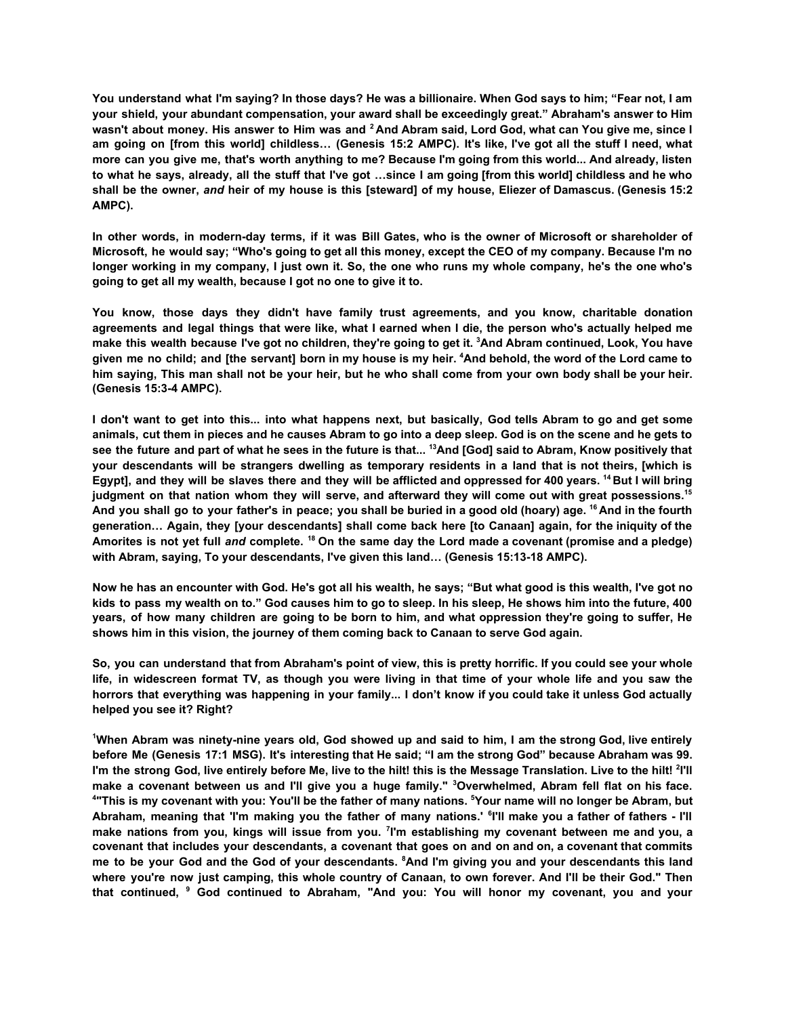You understand what I'm saying? In those days? He was a billionaire. When God says to him; "Fear not, I am **your shield, your abundant compensation, your award shall be exceedingly great." Abraham's answer to Him** wasn't about money. His answer to Him was and <sup>2</sup> And Abram said, Lord God, what can You give me, since I am going on [from this world] childless... (Genesis 15:2 AMPC). It's like, I've got all the stuff I need, what more can you give me, that's worth anything to me? Because I'm going from this world... And already, listen to what he says, already, all the stuff that I've got ...since I am going [from this world] childless and he who shall be the owner, and heir of my house is this [steward] of my house, Eliezer of Damascus. (Genesis 15:2 **AMPC).**

In other words, in modern-day terms, if it was Bill Gates, who is the owner of Microsoft or shareholder of Microsoft, he would say; "Who's going to get all this money, except the CEO of my company. Because I'm no longer working in my company, I just own it. So, the one who runs my whole company, he's the one who's **going to get all my wealth, because I got no one to give it to.**

**You know, those days they didn't have family trust agreements, and you know, charitable donation** agreements and legal things that were like, what I earned when I die, the person who's actually helped me make this wealth because I've got no children, they're going to get it. <sup>3</sup>And Abram continued, Look, You have given me no child; and [the servant] born in my house is my heir. <sup>4</sup>And behold, the word of the Lord came to him saying, This man shall not be your heir, but he who shall come from your own body shall be your heir. **(Genesis 15:3-4 AMPC).**

I don't want to get into this... into what happens next, but basically, God tells Abram to go and get some animals, cut them in pieces and he causes Abram to go into a deep sleep. God is on the scene and he gets to see the future and part of what he sees in the future is that... <sup>13</sup>And [God] said to Abram, Know positively that your descendants will be strangers dwelling as temporary residents in a land that is not theirs, [which is Egypt], and they will be slaves there and they will be afflicted and oppressed for 400 years. <sup>14</sup> But I will bring judgment on that nation whom they will serve, and afterward they will come out with great possessions.<sup>15</sup> And you shall go to your father's in peace; you shall be buried in a good old (hoary) age. <sup>16</sup> And in the fourth generation... Again, they [your descendants] shall come back here [to Canaan] again, for the iniquity of the Amorites is not yet full and complete. <sup>18</sup> On the same day the Lord made a covenant (promise and a pledge) **with Abram, saying, To your descendants, I've given this land… (Genesis 15:13-18 AMPC).**

Now he has an encounter with God. He's got all his wealth, he says; "But what good is this wealth, I've got no kids to pass my wealth on to." God causes him to go to sleep. In his sleep. He shows him into the future, 400 years, of how many children are going to be born to him, and what oppression they're going to suffer, He **shows him in this vision, the journey of them coming back to Canaan to serve God again.**

So, you can understand that from Abraham's point of view, this is pretty horrific. If you could see your whole life, in widescreen format TV, as though you were living in that time of your whole life and you saw the horrors that everything was happening in your family... I don't know if you could take it unless God actually **helped you see it? Right?**

'When Abram was ninety-nine years old, God showed up and said to him, I am the strong God, live entirely before Me (Genesis 17:1 MSG). It's interesting that He said; "I am the strong God" because Abraham was 99. I'm the strong God, live entirely before Me, live to the hilt! this is the Message Translation. Live to the hilt! <sup>2</sup>I'll make a covenant between us and I'll give you a huge family." <sup>3</sup>Overwhelmed, Abram fell flat on his face. <sup>4</sup>"This is my covenant with you: You'll be the father of many nations. <sup>5</sup>Your name will no longer be Abram, but Abraham, meaning that 'I'm making you the father of many nations.' <sup>6</sup>I'll make you a father of fathers - I'll make nations from you, kings will issue from you. <sup>7</sup>I'm establishing my covenant between me and you, a covenant that includes your descendants, a covenant that goes on and on and on, a covenant that commits me to be your God and the God of your descendants. <sup>8</sup>And I'm giving you and your descendants this land where you're now just camping, this whole country of Canaan, to own forever. And I'll be their God." Then **that continued, <sup>9</sup> God continued to Abraham, "And you: You will honor my covenant, you and your**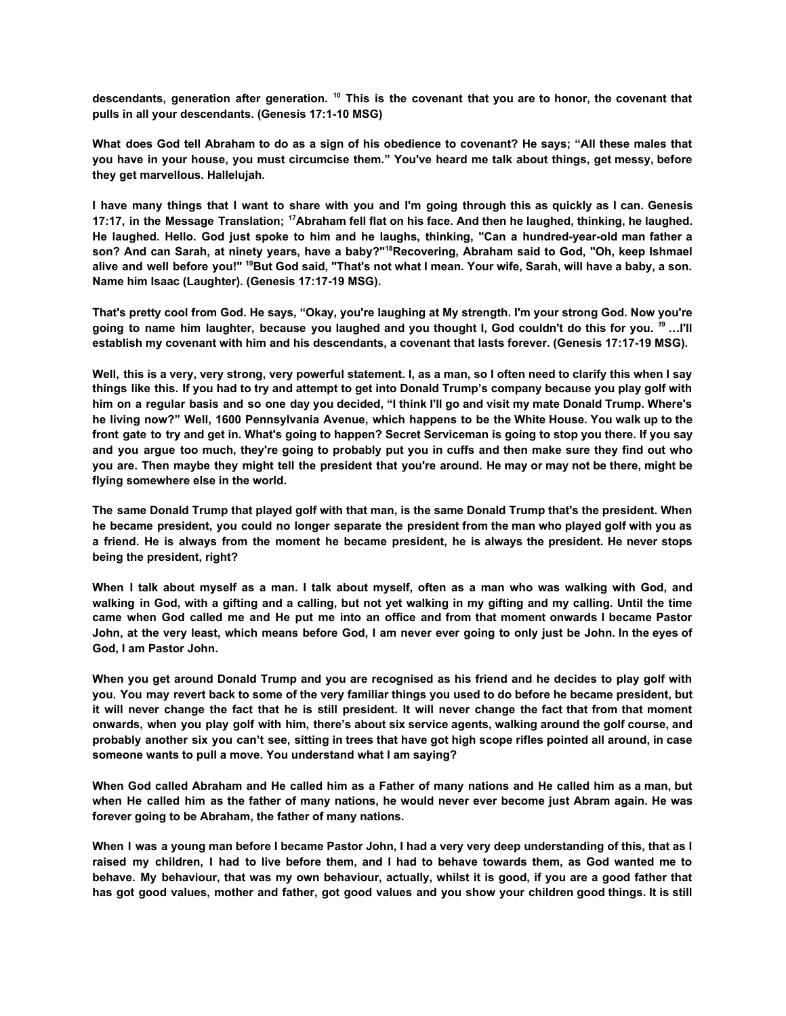descendants, generation after generation. <sup>10</sup> This is the covenant that you are to honor, the covenant that **pulls in all your descendants. (Genesis 17:1-10 MSG)**

What does God tell Abraham to do as a sign of his obedience to covenant? He says; "All these males that you have in your house, you must circumcise them." You've heard me talk about things, get messy, before **they get marvellous. Hallelujah.**

I have many things that I want to share with you and I'm going through this as quickly as I can. Genesis 17:17, in the Message Translation: <sup>17</sup>Abraham fell flat on his face. And then he laughed, thinking, he laughed, He laughed. Hello. God just spoke to him and he laughs, thinking, "Can a hundred-year-old man father a son? And can Sarah, at ninety years, have a baby?"<sup>18</sup>Recovering, Abraham said to God, "Oh, keep Ishmael alive and well before you!" <sup>19</sup>But God said, "That's not what I mean. Your wife, Sarah, will have a baby, a son. **Name him Isaac (Laughter). (Genesis 17:17-19 MSG).**

That's pretty cool from God. He says, "Okay, you're laughing at My strength. I'm your strong God. Now you're going to name him laughter, because you laughed and you thought I, God couldn't do this for you. <sup>19</sup> ... I'll **establish my covenant with him and his descendants, a covenant that lasts forever. (Genesis 17:17-19 MSG).**

Well, this is a very, very strong, very powerful statement. I, as a man, so I often need to clarify this when I say things like this. If you had to try and attempt to get into Donald Trump's company because you play golf with him on a regular basis and so one day you decided, "I think I'll go and visit my mate Donald Trump. Where's he living now?" Well, 1600 Pennsylvania Avenue, which happens to be the White House. You walk up to the front gate to try and get in. What's going to happen? Secret Serviceman is going to stop you there. If you say and you argue too much, they're going to probably put you in cuffs and then make sure they find out who you are. Then maybe they might tell the president that you're around. He may or may not be there, might be **flying somewhere else in the world.**

The same Donald Trump that played golf with that man, is the same Donald Trump that's the president. When he became president, you could no longer separate the president from the man who played golf with you as a friend. He is always from the moment he became president, he is always the president. He never stops **being the president, right?**

When I talk about myself as a man. I talk about myself, often as a man who was walking with God, and walking in God, with a gifting and a calling, but not vet walking in my gifting and my calling. Until the time came when God called me and He put me into an office and from that moment onwards I became Pastor John, at the very least, which means before God, I am never ever going to only just be John. In the eyes of **God, I am Pastor John.**

When you get around Donald Trump and you are recognised as his friend and he decides to play golf with you. You may revert back to some of the very familiar things you used to do before he became president, but it will never change the fact that he is still president. It will never change the fact that from that moment onwards, when you play golf with him, there's about six service agents, walking around the golf course, and probably another six you can't see, sitting in trees that have got high scope rifles pointed all around, in case **someone wants to pull a move. You understand what I am saying?**

When God called Abraham and He called him as a Father of many nations and He called him as a man, but when He called him as the father of many nations, he would never ever become just Abram again. He was **forever going to be Abraham, the father of many nations.**

When I was a young man before I became Pastor John, I had a very very deep understanding of this, that as I raised my children, I had to live before them, and I had to behave towards them, as God wanted me to behave. My behaviour, that was my own behaviour, actually, whilst it is good, if you are a good father that has got good values, mother and father, got good values and you show your children good things. It is still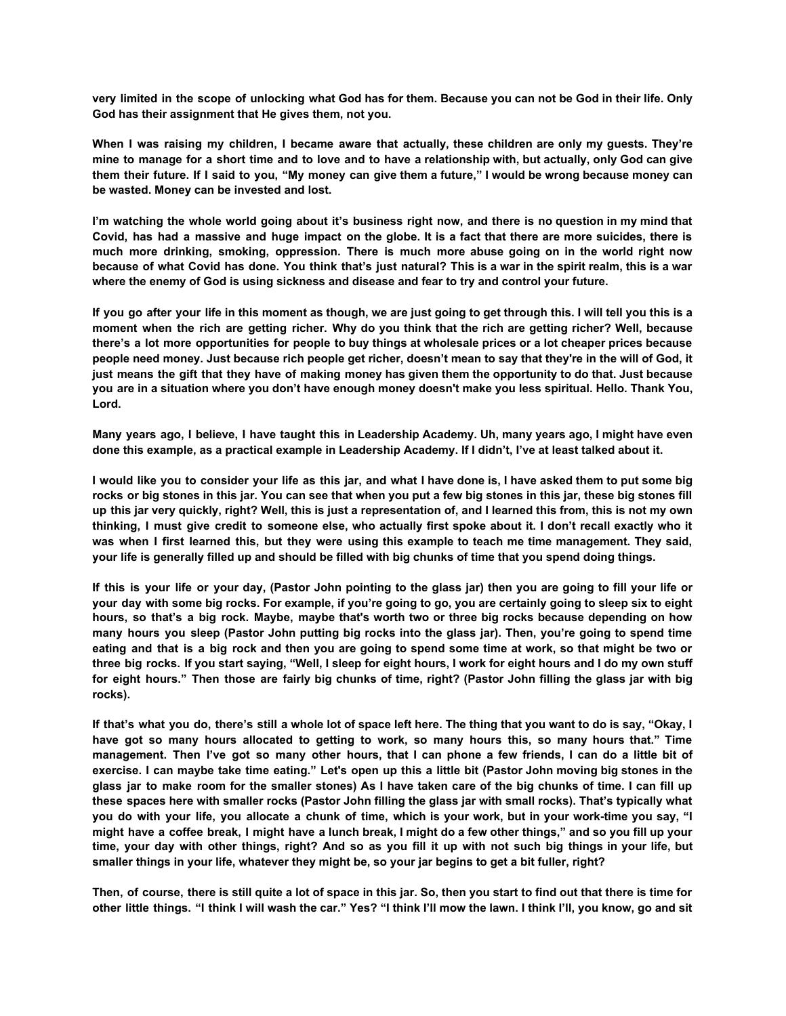very limited in the scope of unlocking what God has for them. Because you can not be God in their life. Only **God has their assignment that He gives them, not you.**

When I was raising my children, I became aware that actually, these children are only my guests. They're mine to manage for a short time and to love and to have a relationship with, but actually, only God can give them their future. If I said to you, "My money can give them a future," I would be wrong because money can **be wasted. Money can be invested and lost.**

I'm watching the whole world going about it's business right now, and there is no question in my mind that Covid, has had a massive and huge impact on the globe. It is a fact that there are more suicides, there is **much more drinking, smoking, oppression. There is much more abuse going on in the world right now** because of what Covid has done. You think that's just natural? This is a war in the spirit realm, this is a war **where the enemy of God is using sickness and disease and fear to try and control your future.**

If you go after your life in this moment as though, we are just going to get through this. I will tell you this is a moment when the rich are getting richer. Why do you think that the rich are getting richer? Well, because there's a lot more opportunities for people to buy things at wholesale prices or a lot cheaper prices because people need money. Just because rich people get richer, doesn't mean to say that they're in the will of God, it just means the gift that they have of making money has given them the opportunity to do that. Just because you are in a situation where you don't have enough money doesn't make you less spiritual. Hello. Thank You, **Lord.**

Many years ago, I believe, I have taught this in Leadership Academy. Uh, many years ago, I might have even **done this example, as a practical example in Leadership Academy. If I didn't, I've at least talked about it.**

I would like you to consider your life as this jar, and what I have done is, I have asked them to put some big rocks or big stones in this jar. You can see that when you put a few big stones in this jar, these big stones fill up this jar very quickly, right? Well, this is just a representation of, and I learned this from, this is not my own thinking, I must give credit to someone else, who actually first spoke about it. I don't recall exactly who it was when I first learned this, but they were using this example to teach me time management. They said, **your life is generally filled up and should be filled with big chunks of time that you spend doing things.**

If this is your life or your day, (Pastor John pointing to the glass jar) then you are going to fill your life or your day with some big rocks. For example, if you're going to go, you are certainly going to sleep six to eight hours, so that's a big rock. Maybe, maybe that's worth two or three big rocks because depending on how many hours you sleep (Pastor John putting big rocks into the glass jar). Then, you're going to spend time eating and that is a big rock and then you are going to spend some time at work, so that might be two or three big rocks. If you start saying, "Well, I sleep for eight hours, I work for eight hours and I do my own stuff for eight hours." Then those are fairly big chunks of time, right? (Pastor John filling the glass jar with big **rocks).**

If that's what you do, there's still a whole lot of space left here. The thing that you want to do is say, "Okay, I have got so many hours allocated to getting to work, so many hours this, so many hours that." Time management. Then I've got so many other hours, that I can phone a few friends, I can do a little bit of exercise. I can maybe take time eating." Let's open up this a little bit (Pastor John moving big stones in the glass jar to make room for the smaller stones) As I have taken care of the big chunks of time. I can fill up these spaces here with smaller rocks (Pastor John filling the glass jar with small rocks). That's typically what you do with your life, you allocate a chunk of time, which is your work, but in your work-time you say, "I might have a coffee break, I might have a lunch break, I might do a few other things," and so you fill up your time, your day with other things, right? And so as you fill it up with not such big things in your life, but **smaller things in your life, whatever they might be, so your jar begins to get a bit fuller, right?**

Then, of course, there is still quite a lot of space in this jar. So, then you start to find out that there is time for other little things. "I think I will wash the car." Yes? "I think I'll mow the lawn. I think I'll, you know, go and sit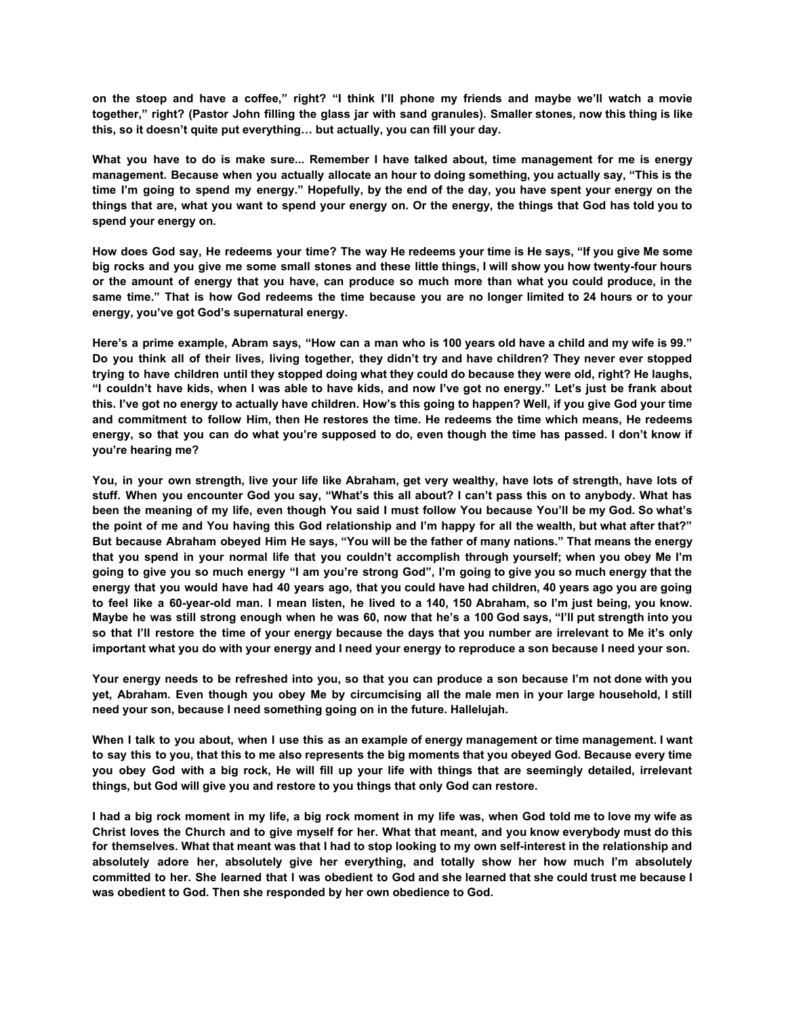on the stoep and have a coffee," right? "I think I'll phone my friends and maybe we'll watch a movie together," right? (Pastor John filling the glass jar with sand granules). Smaller stones, now this thing is like **this, so it doesn't quite put everything… but actually, you can fill your day.**

What you have to do is make sure... Remember I have talked about, time management for me is energy **management. Because when you actually allocate an hour to doing something, you actually say, "This is the** time I'm going to spend my energy." Hopefully, by the end of the day, you have spent your energy on the things that are, what you want to spend your energy on. Or the energy, the things that God has told you to **spend your energy on.**

How does God say, He redeems your time? The way He redeems your time is He says, "If you give Me some big rocks and you give me some small stones and these little things, I will show you how twenty-four hours or the amount of energy that you have, can produce so much more than what you could produce, in the same time." That is how God redeems the time because you are no longer limited to 24 hours or to your **energy, you've got God's supernatural energy.**

Here's a prime example, Abram says, "How can a man who is 100 years old have a child and my wife is 99." Do you think all of their lives, living together, they didn't try and have children? They never ever stopped trying to have children until they stopped doing what they could do because they were old, right? He laughs, "I couldn't have kids, when I was able to have kids, and now I've got no energy." Let's just be frank about this. I've got no energy to actually have children. How's this going to happen? Well, if you give God your time and commitment to follow Him, then He restores the time. He redeems the time which means, He redeems energy, so that you can do what you're supposed to do, even though the time has passed. I don't know if **you're hearing me?**

You, in your own strength, live your life like Abraham, get very wealthy, have lots of strength, have lots of stuff. When you encounter God you say, "What's this all about? I can't pass this on to anybody. What has been the meaning of my life, even though You said I must follow You because You'll be my God. So what's the point of me and You having this God relationship and I'm happy for all the wealth, but what after that?" But because Abraham obeyed Him He says, "You will be the father of many nations." That means the energy that you spend in your normal life that you couldn't accomplish through yourself; when you obey Me I'm going to give you so much energy "I am you're strong God", I'm going to give you so much energy that the energy that you would have had 40 years ago, that you could have had children, 40 years ago you are going to feel like a 60-year-old man. I mean listen, he lived to a 140, 150 Abraham, so I'm just being, you know. Maybe he was still strong enough when he was 60, now that he's a 100 God says, "I'll put strength into you so that I'll restore the time of your energy because the days that you number are irrelevant to Me it's only **important what you do with your energy and I need your energy to reproduce a son because I need your son.**

Your energy needs to be refreshed into you, so that you can produce a son because I'm not done with you yet, Abraham. Even though you obey Me by circumcising all the male men in your large household, I still **need your son, because I need something going on in the future. Hallelujah.**

When I talk to you about, when I use this as an example of energy management or time management. I want to say this to you, that this to me also represents the big moments that you obeyed God. Because every time you obey God with a big rock, He will fill up your life with things that are seemingly detailed, irrelevant **things, but God will give you and restore to you things that only God can restore.**

I had a big rock moment in my life, a big rock moment in my life was, when God told me to love my wife as Christ loves the Church and to give myself for her. What that meant, and you know everybody must do this for themselves. What that meant was that I had to stop looking to my own self-interest in the relationship and **absolutely adore her, absolutely give her everything, and totally show her how much I'm absolutely** committed to her. She learned that I was obedient to God and she learned that she could trust me because I **was obedient to God. Then she responded by her own obedience to God.**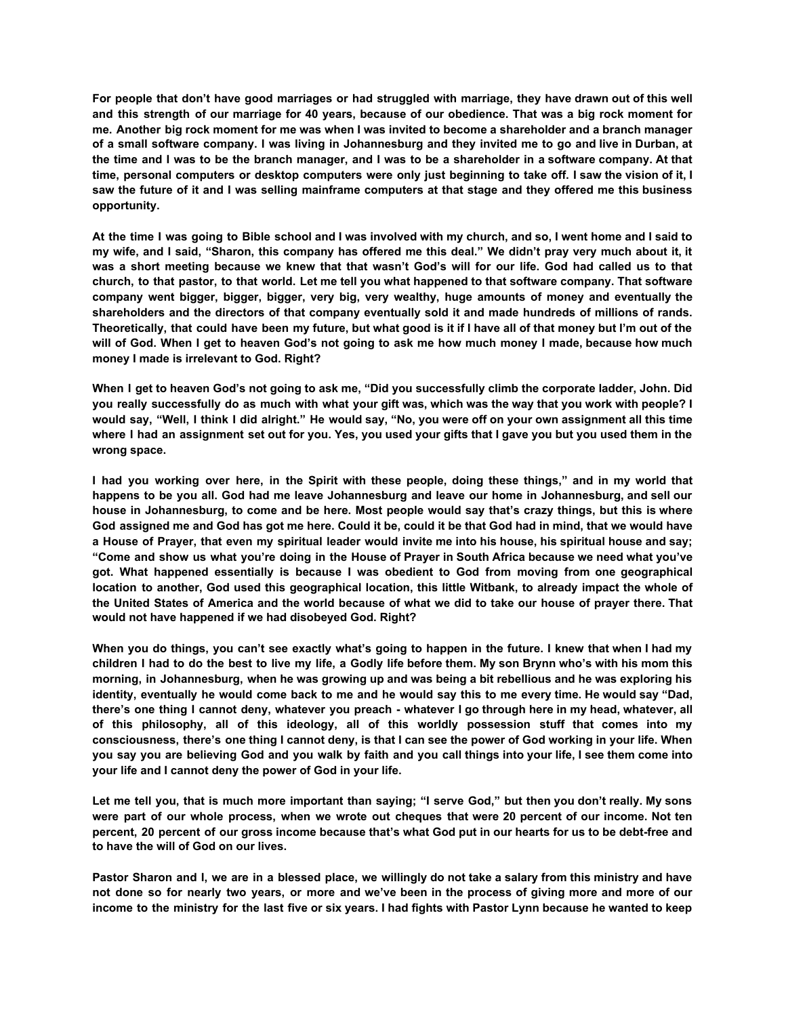For people that don't have good marriages or had struggled with marriage, they have drawn out of this well and this strength of our marriage for 40 years, because of our obedience. That was a big rock moment for me. Another big rock moment for me was when I was invited to become a shareholder and a branch manager of a small software company. I was living in Johannesburg and they invited me to go and live in Durban, at the time and I was to be the branch manager, and I was to be a shareholder in a software company. At that time, personal computers or desktop computers were only just beginning to take off. I saw the vision of it, I saw the future of it and I was selling mainframe computers at that stage and they offered me this business **opportunity.**

At the time I was going to Bible school and I was involved with my church, and so, I went home and I said to my wife, and I said, "Sharon, this company has offered me this deal." We didn't pray very much about it, it was a short meeting because we knew that that wasn't God's will for our life. God had called us to that church, to that pastor, to that world. Let me tell you what happened to that software company. That software **company went bigger, bigger, bigger, very big, very wealthy, huge amounts of money and eventually the shareholders and the directors of that company eventually sold it and made hundreds of millions of rands.** Theoretically, that could have been my future, but what good is it if I have all of that money but I'm out of the will of God. When I get to heaven God's not going to ask me how much money I made, because how much **money I made is irrelevant to God. Right?**

When I get to heaven God's not going to ask me, "Did you successfully climb the corporate ladder, John. Did you really successfully do as much with what your gift was, which was the way that you work with people? I would say, "Well, I think I did alright." He would say, "No, you were off on your own assignment all this time where I had an assignment set out for you. Yes, you used your gifts that I gave you but you used them in the **wrong space.**

I had you working over here, in the Spirit with these people, doing these things," and in my world that happens to be you all. God had me leave Johannesburg and leave our home in Johannesburg, and sell our house in Johannesburg, to come and be here. Most people would say that's crazy things, but this is where God assigned me and God has got me here. Could it be, could it be that God had in mind, that we would have a House of Prayer, that even my spiritual leader would invite me into his house, his spiritual house and say; "Come and show us what you're doing in the House of Prayer in South Africa because we need what you've **got. What happened essentially is because I was obedient to God from moving from one geographical** location to another, God used this geographical location, this little Witbank, to already impact the whole of the United States of America and the world because of what we did to take our house of praver there. That **would not have happened if we had disobeyed God. Right?**

When you do things, you can't see exactly what's going to happen in the future. I knew that when I had my children I had to do the best to live my life, a Godly life before them. My son Brynn who's with his mom this morning, in Johannesburg, when he was growing up and was being a bit rebellious and he was exploring his identity, eventually he would come back to me and he would say this to me every time. He would say "Dad, there's one thing I cannot deny, whatever you preach - whatever I go through here in my head, whatever, all **of this philosophy, all of this ideology, all of this worldly possession stuff that comes into my** consciousness, there's one thing I cannot deny, is that I can see the power of God working in your life. When you say you are believing God and you walk by faith and you call things into your life, I see them come into **your life and I cannot deny the power of God in your life.**

Let me tell you, that is much more important than saying; "I serve God," but then you don't really. My sons were part of our whole process, when we wrote out cheques that were 20 percent of our income. Not ten percent, 20 percent of our gross income because that's what God put in our hearts for us to be debt-free and **to have the will of God on our lives.**

Pastor Sharon and I, we are in a blessed place, we willingly do not take a salary from this ministry and have not done so for nearly two years, or more and we've been in the process of giving more and more of our income to the ministry for the last five or six years. I had fights with Pastor Lynn because he wanted to keep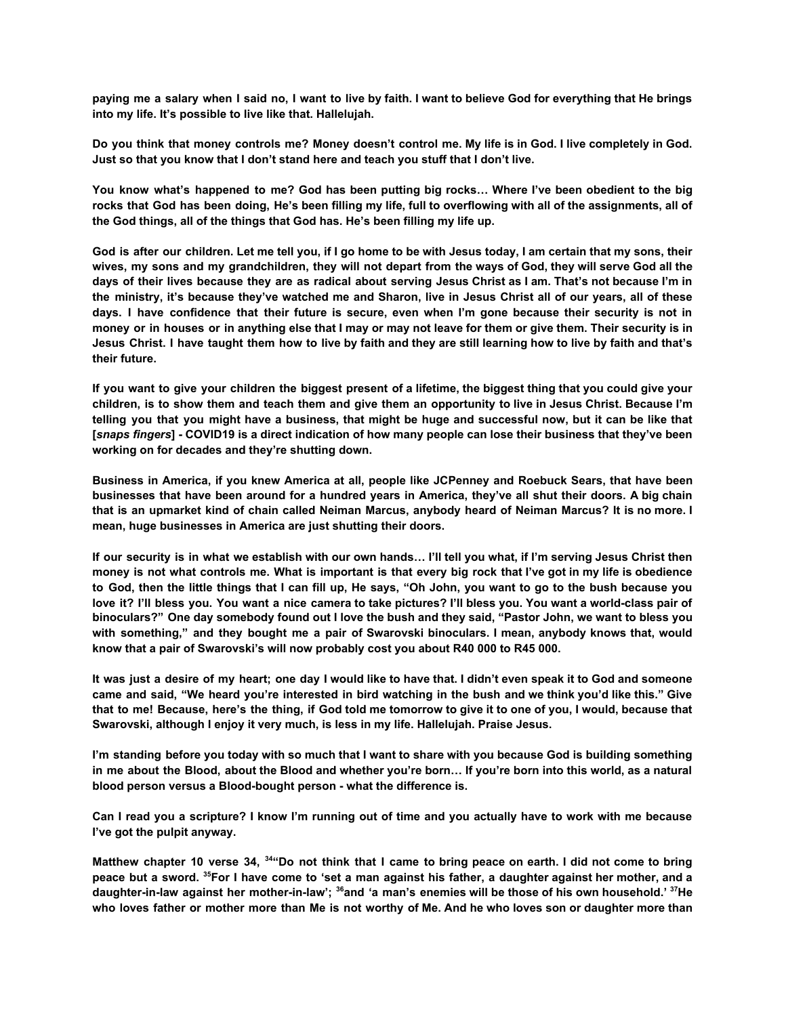paying me a salary when I said no, I want to live by faith. I want to believe God for everything that He brings **into my life. It's possible to live like that. Hallelujah.**

Do you think that money controls me? Money doesn't control me. My life is in God. I live completely in God. **Just so that you know that I don't stand here and teach you stuff that I don't live.**

You know what's happened to me? God has been putting big rocks... Where I've been obedient to the big rocks that God has been doing, He's been filling my life, full to overflowing with all of the assignments, all of **the God things, all of the things that God has. He's been filling my life up.**

God is after our children. Let me tell you, if I go home to be with Jesus today, I am certain that my sons, their wives, my sons and my grandchildren, they will not depart from the ways of God, they will serve God all the days of their lives because they are as radical about serving Jesus Christ as I am. That's not because I'm in the ministry, it's because they've watched me and Sharon, live in Jesus Christ all of our years, all of these days. I have confidence that their future is secure, even when I'm gone because their security is not in money or in houses or in anything else that I may or may not leave for them or give them. Their security is in Jesus Christ. I have taught them how to live by faith and they are still learning how to live by faith and that's **their future.**

If you want to give your children the biggest present of a lifetime, the biggest thing that you could give your children, is to show them and teach them and give them an opportunity to live in Jesus Christ. Because I'm telling you that you might have a business, that might be huge and successful now, but it can be like that [snaps fingers] - COVID19 is a direct indication of how many people can lose their business that they've been **working on for decades and they're shutting down.**

Business in America, if you knew America at all, people like JCPenney and Roebuck Sears, that have been businesses that have been around for a hundred years in America, they've all shut their doors. A big chain that is an upmarket kind of chain called Neiman Marcus, anybody heard of Neiman Marcus? It is no more. I **mean, huge businesses in America are just shutting their doors.**

If our security is in what we establish with our own hands... I'll tell you what, if I'm serving Jesus Christ then money is not what controls me. What is important is that every big rock that I've got in my life is obedience to God, then the little things that I can fill up, He says, "Oh John, you want to go to the bush because you love it? I'll bless vou. You want a nice camera to take pictures? I'll bless vou. You want a world-class pair of binoculars?" One day somebody found out I love the bush and they said, "Pastor John, we want to bless you **with something," and they bought me a pair of Swarovski binoculars. I mean, anybody knows that, would know that a pair of Swarovski's will now probably cost you about R40 000 to R45 000.**

It was just a desire of my heart; one day I would like to have that. I didn't even speak it to God and someone came and said. "We heard vou're interested in bird watching in the bush and we think vou'd like this." Give that to me! Because, here's the thing, if God told me tomorrow to give it to one of you, I would, because that **Swarovski, although I enjoy it very much, is less in my life. Hallelujah. Praise Jesus.**

I'm standing before you today with so much that I want to share with you because God is building something in me about the Blood, about the Blood and whether you're born... If you're born into this world, as a natural **blood person versus a Blood-bought person - what the difference is.**

Can I read you a scripture? I know I'm running out of time and you actually have to work with me because **I've got the pulpit anyway.**

Matthew chapter 10 verse 34, <sup>34</sup> Do not think that I came to bring peace on earth. I did not come to bring peace but a sword. <sup>35</sup> For I have come to 'set a man against his father, a daughter against her mother, and a daughter-in-law against her mother-in-law'; <sup>36</sup>and 'a man's enemies will be those of his own household.' <sup>37</sup>He who loves father or mother more than Me is not worthy of Me. And he who loves son or daughter more than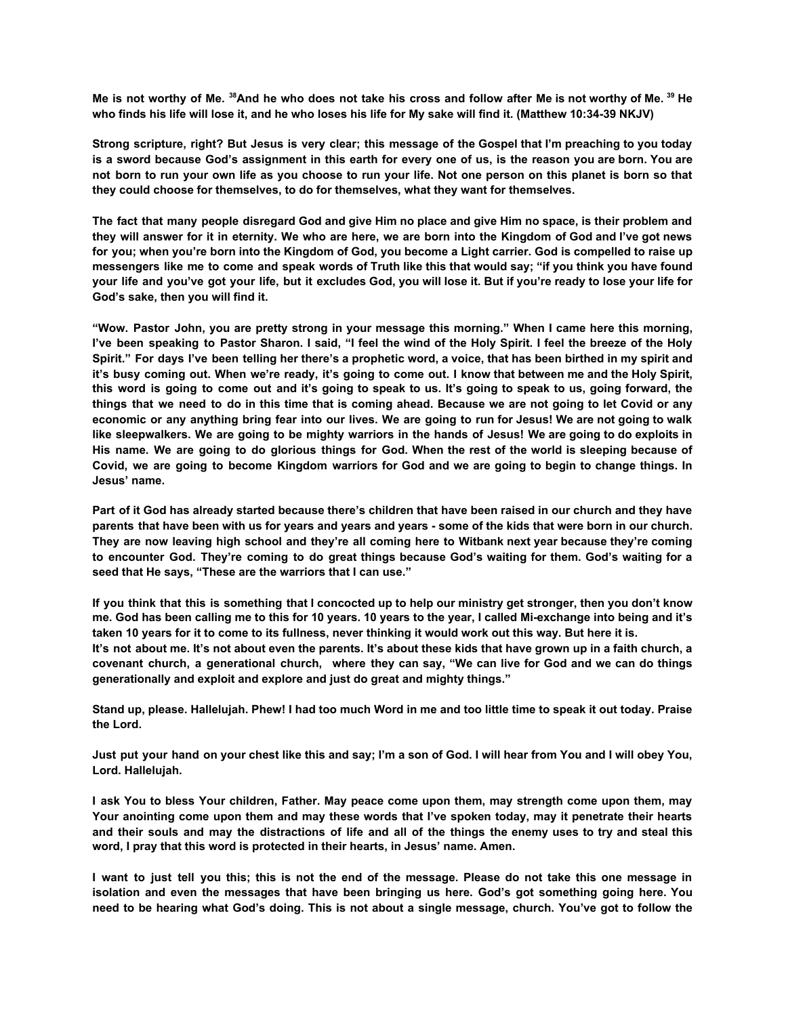Me is not worthy of Me. 38 And he who does not take his cross and follow after Me is not worthy of Me. 39 He **who finds his life will lose it, and he who loses his life for My sake will find it. (Matthew 10:34-39 NKJV)**

Strong scripture, right? But Jesus is very clear; this message of the Gospel that I'm preaching to you today is a sword because God's assignment in this earth for every one of us, is the reason you are born. You are not born to run your own life as you choose to run your life. Not one person on this planet is born so that **they could choose for themselves, to do for themselves, what they want for themselves.**

The fact that many people disregard God and give Him no place and give Him no space, is their problem and they will answer for it in eternity. We who are here, we are born into the Kingdom of God and I've got news for you; when you're born into the Kingdom of God, you become a Light carrier. God is compelled to raise up messengers like me to come and speak words of Truth like this that would say; "if you think you have found your life and you've got your life, but it excludes God, you will lose it. But if you're ready to lose your life for **God's sake, then you will find it.**

"Wow. Pastor John, you are pretty strong in your message this morning." When I came here this morning, I've been speaking to Pastor Sharon. I said, "I feel the wind of the Holy Spirit. I feel the breeze of the Holy Spirit." For days I've been telling her there's a prophetic word, a voice, that has been birthed in my spirit and it's busy coming out. When we're ready, it's going to come out. I know that between me and the Holy Spirit, this word is going to come out and it's going to speak to us. It's going to speak to us, going forward, the things that we need to do in this time that is coming ahead. Because we are not going to let Covid or any economic or any anything bring fear into our lives. We are going to run for Jesus! We are not going to walk like sleepwalkers. We are going to be mighty warriors in the hands of Jesus! We are going to do exploits in His name. We are going to do glorious things for God. When the rest of the world is sleeping because of Covid, we are going to become Kingdom warriors for God and we are going to begin to change things. In **Jesus' name.**

Part of it God has already started because there's children that have been raised in our church and they have parents that have been with us for years and years and years - some of the kids that were born in our church. They are now leaving high school and they're all coming here to Witbank next year because they're coming to encounter God. They're coming to do great things because God's waiting for them. God's waiting for a **seed that He says, "These are the warriors that I can use."**

If you think that this is something that I concocted up to help our ministry get stronger, then you don't know me. God has been calling me to this for 10 years. 10 years to the year, I called Mi-exchange into being and it's **taken 10 years for it to come to its fullness, never thinking it would work out this way. But here it is.** It's not about me. It's not about even the parents. It's about these kids that have grown up in a faith church, a covenant church, a generational church, where they can say, "We can live for God and we can do things **generationally and exploit and explore and just do great and mighty things."**

Stand up, please. Hallelujah. Phew! I had too much Word in me and too little time to speak it out today. Praise **the Lord.**

Just put your hand on your chest like this and say; I'm a son of God. I will hear from You and I will obey You, **Lord. Hallelujah.**

I ask You to bless Your children, Father. May peace come upon them, may strength come upon them, may Your anointing come upon them and may these words that I've spoken today, may it penetrate their hearts and their souls and may the distractions of life and all of the things the enemy uses to try and steal this **word, I pray that this word is protected in their hearts, in Jesus' name. Amen.**

I want to just tell you this; this is not the end of the message. Please do not take this one message in **isolation and even the messages that have been bringing us here. God's got something going here. You** need to be hearing what God's doing. This is not about a single message, church. You've got to follow the